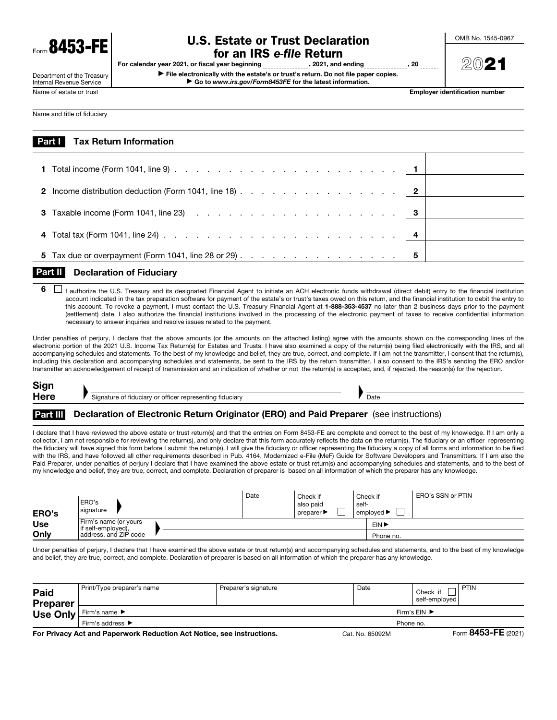**8453-FF** 

#### Department of the Treasury Internal Revenue Service

# U.S. Estate or Trust Declaration

OMB No. 1545-0967

2021

**for an IRS** *e-file* **Return**<br>I year beginning \_\_\_\_\_\_\_\_\_\_\_\_\_\_, 2021, and ending \_\_\_\_\_\_\_\_\_\_\_\_ For calendar year 2021, or fiscal year beginning , 2021, and ending , 20 ▶ File electronically with the estate's or trust's return. Do not file paper copies. ▶ Go to *www.irs.gov/Form8453FE* for the latest information*.*

Name and title of fiduciary

Name of estate or trust **Employer identification number**  $\blacksquare$ 

| <b>Part Tax Return Information</b> |  |  |  |  |  |  |  |  |  |  |  |
|------------------------------------|--|--|--|--|--|--|--|--|--|--|--|
|                                    |  |  |  |  |  |  |  |  |  |  |  |
|                                    |  |  |  |  |  |  |  |  |  |  |  |

| 2 Income distribution deduction (Form 1041, line 18) $\ldots$ 2 $\vert$                                                                                                                                                                                                                                                                                                                                                                              |  |
|------------------------------------------------------------------------------------------------------------------------------------------------------------------------------------------------------------------------------------------------------------------------------------------------------------------------------------------------------------------------------------------------------------------------------------------------------|--|
| 3 Taxable income (Form 1041, line 23) $\therefore$ $\therefore$ $\therefore$ $\therefore$ $\therefore$ $\therefore$ $\therefore$ $\therefore$ $\therefore$ $\therefore$ $\therefore$ $\therefore$ $\therefore$ $\therefore$ $\therefore$ $\therefore$ $\therefore$ $\therefore$ $\therefore$ $\therefore$ $\therefore$ $\therefore$ $\therefore$ $\therefore$ $\therefore$ $\therefore$ $\therefore$ $\therefore$ $\therefore$ $\therefore$ $\there$ |  |
|                                                                                                                                                                                                                                                                                                                                                                                                                                                      |  |
| 5 Tax due or overpayment (Form 1041, line 28 or 29) $\ldots$ 5                                                                                                                                                                                                                                                                                                                                                                                       |  |

## Part II Declaration of Fiduciary

 $6 \Box$  I authorize the U.S. Treasury and its designated Financial Agent to initiate an ACH electronic funds withdrawal (direct debit) entry to the financial institution account indicated in the tax preparation software for payment of the estate's or trust's taxes owed on this return, and the financial institution to debit the entry to this account. To revoke a payment, I must contact the U.S. Treasury Financial Agent at 1-888-353-4537 no later than 2 business days prior to the payment (settlement) date. I also authorize the financial institutions involved in the processing of the electronic payment of taxes to receive confidential information necessary to answer inquiries and resolve issues related to the payment.

Under penalties of perjury, I declare that the above amounts (or the amounts on the attached listing) agree with the amounts shown on the corresponding lines of the electronic portion of the 2021 U.S. Income Tax Return(s) for Estates and Trusts. I have also examined a copy of the return(s) being filed electronically with the IRS, and all accompanying schedules and statements. To the best of my knowledge and belief, they are true, correct, and complete. If I am not the transmitter, I consent that the return(s), including this declaration and accompanying schedules and statements, be sent to the IRS by the return transmitter. I also consent to the IRS's sending the ERO and/or transmitter an acknowledgement of receipt of transmission and an indication of whether or not the return(s) is accepted, and, if rejected, the reason(s) for the rejection.

| Sign        |                                                             |      |
|-------------|-------------------------------------------------------------|------|
| <b>Here</b> | Signature of fiduciary or officer representing fiduciary of | Date |

#### Part III Declaration of Electronic Return Originator (ERO) and Paid Preparer (see instructions)

I declare that I have reviewed the above estate or trust return(s) and that the entries on Form 8453-FE are complete and correct to the best of my knowledge. If I am only a collector, I am not responsible for reviewing the return(s), and only declare that this form accurately reflects the data on the return(s). The fiduciary or an officer representing the fiduciary will have signed this form before I submit the return(s). I will give the fiduciary or officer representing the fiduciary a copy of all forms and information to be filed with the IRS, and have followed all other requirements described in Pub. 4164, Modernized e-File (MeF) Guide for Software Developers and Transmitters. If I am also the Paid Preparer, under penalties of perjury I declare that I have examined the above estate or trust return(s) and accompanying schedules and statements, and to the best of my knowledge and belief, they are true, correct, and complete. Declaration of preparer is based on all information of which the preparer has any knowledge.

| ERO's      | ERO's<br>signature                                                   |  | Date | Check if<br>also paid<br>preparer $\blacktriangleright$ | self- | Check if<br>$'$ employed $\blacktriangleright$ | ERO's SSN or PTIN |  |  |
|------------|----------------------------------------------------------------------|--|------|---------------------------------------------------------|-------|------------------------------------------------|-------------------|--|--|
| <b>Use</b> | Firm's name (or yours<br>if self-employed),<br>address. and ZIP code |  |      |                                                         |       | EIN D                                          |                   |  |  |
| Only       |                                                                      |  |      |                                                         |       | Phone no.                                      |                   |  |  |

Under penalties of perjury, I declare that I have examined the above estate or trust return(s) and accompanying schedules and statements, and to the best of my knowledge and belief, they are true, correct, and complete. Declaration of preparer is based on all information of which the preparer has any knowledge.

| Paid<br>Preparer                                                                         | Print/Type preparer's name           | Preparer's signature               | Date |  |  | PTIN<br>self-employed |
|------------------------------------------------------------------------------------------|--------------------------------------|------------------------------------|------|--|--|-----------------------|
| Use Only                                                                                 | Firm's name ▶                        | Firm's $EIN$ $\blacktriangleright$ |      |  |  |                       |
|                                                                                          | Firm's address $\blacktriangleright$ | Phone no.                          |      |  |  |                       |
| For Privacy Act and Paperwork Reduction Act Notice, see instructions.<br>Cat. No. 65092M |                                      |                                    |      |  |  | Form 8453-FE (2021)   |